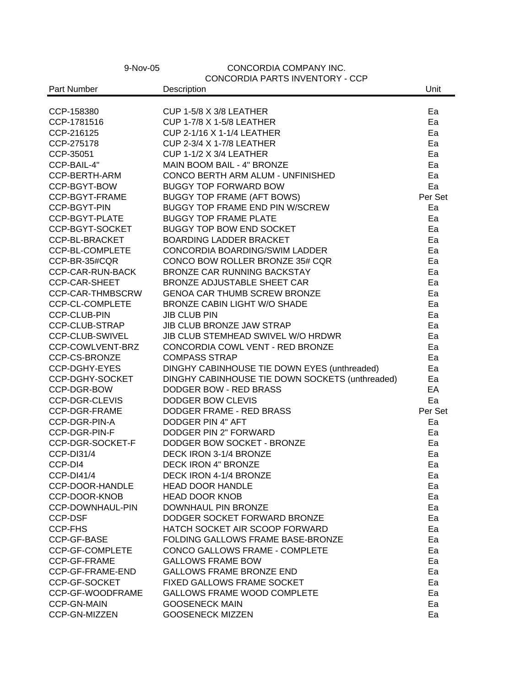## 9-Nov-05 CONCORDIA COMPANY INC. CONCENTATION CCP

| Part Number<br>Description<br>Unit<br>CUP 1-5/8 X 3/8 LEATHER<br>CCP-158380<br>Ea<br><b>CUP 1-7/8 X 1-5/8 LEATHER</b><br>CCP-1781516<br>Ea<br>CCP-216125<br>CUP 2-1/16 X 1-1/4 LEATHER<br>Ea<br>CCP-275178<br>CUP 2-3/4 X 1-7/8 LEATHER<br>Ea<br>CCP-35051<br><b>CUP 1-1/2 X 3/4 LEATHER</b><br>Ea<br>CCP-BAIL-4"<br>MAIN BOOM BAIL - 4" BRONZE<br>Ea<br>CONCO BERTH ARM ALUM - UNFINISHED<br>CCP-BERTH-ARM<br>Ea<br><b>BUGGY TOP FORWARD BOW</b><br>CCP-BGYT-BOW<br>Ea<br><b>BUGGY TOP FRAME (AFT BOWS)</b><br>Per Set<br>CCP-BGYT-FRAME<br>BUGGY TOP FRAME END PIN W/SCREW<br>CCP-BGYT-PIN<br>Ea<br>CCP-BGYT-PLATE<br><b>BUGGY TOP FRAME PLATE</b><br>Ea<br>CCP-BGYT-SOCKET<br><b>BUGGY TOP BOW END SOCKET</b><br>Ea<br>CCP-BL-BRACKET<br><b>BOARDING LADDER BRACKET</b><br>Ea<br>CCP-BL-COMPLETE<br>CONCORDIA BOARDING/SWIM LADDER<br>Ea<br>CCP-BR-35#CQR<br>CONCO BOW ROLLER BRONZE 35# CQR<br>Ea<br><b>CCP-CAR-RUN-BACK</b><br>BRONZE CAR RUNNING BACKSTAY<br>Ea<br><b>CCP-CAR-SHEET</b><br>BRONZE ADJUSTABLE SHEET CAR<br>Ea<br>CCP-CAR-THMBSCRW<br><b>GENOA CAR THUMB SCREW BRONZE</b><br>Ea<br>CCP-CL-COMPLETE<br><b>BRONZE CABIN LIGHT W/O SHADE</b><br>Ea<br><b>CCP-CLUB-PIN</b><br><b>JIB CLUB PIN</b><br>Ea<br><b>JIB CLUB BRONZE JAW STRAP</b><br>CCP-CLUB-STRAP<br>Ea<br>CCP-CLUB-SWIVEL<br>JIB CLUB STEMHEAD SWIVEL W/O HRDWR<br>Ea<br>CCP-COWLVENT-BRZ<br>CONCORDIA COWL VENT - RED BRONZE<br>Ea<br>CCP-CS-BRONZE<br><b>COMPASS STRAP</b><br>Ea<br>DINGHY CABINHOUSE TIE DOWN EYES (unthreaded)<br>CCP-DGHY-EYES<br>Ea<br>DINGHY CABINHOUSE TIE DOWN SOCKETS (unthreaded)<br>CCP-DGHY-SOCKET<br>Ea<br>DODGER BOW - RED BRASS<br>EA<br>CCP-DGR-BOW<br>CCP-DGR-CLEVIS<br>DODGER BOW CLEVIS<br>Ea<br>CCP-DGR-FRAME<br>DODGER FRAME - RED BRASS<br>Per Set<br>CCP-DGR-PIN-A<br><b>DODGER PIN 4" AFT</b><br>Ea<br>CCP-DGR-PIN-F<br>DODGER PIN 2" FORWARD<br>Ea<br>CCP-DGR-SOCKET-F<br>DODGER BOW SOCKET - BRONZE<br>Ea<br>DECK IRON 3-1/4 BRONZE<br><b>CCP-DI31/4</b><br>Ea<br><b>DECK IRON 4" BRONZE</b><br>Ea<br>CCP-DI4<br><b>CCP-DI41/4</b><br>DECK IRON 4-1/4 BRONZE<br>Ea<br>CCP-DOOR-HANDLE<br><b>HEAD DOOR HANDLE</b><br>Ea<br>CCP-DOOR-KNOB<br><b>HEAD DOOR KNOB</b><br>Ea<br>CCP-DOWNHAUL-PIN<br>DOWNHAUL PIN BRONZE<br>Ea<br>DODGER SOCKET FORWARD BRONZE<br><b>CCP-DSF</b><br>Ea<br><b>CCP-FHS</b><br>HATCH SOCKET AIR SCOOP FORWARD<br>Ea<br>CCP-GF-BASE<br>FOLDING GALLOWS FRAME BASE-BRONZE<br>Ea<br>CCP-GF-COMPLETE<br>CONCO GALLOWS FRAME - COMPLETE<br>Ea<br><b>GALLOWS FRAME BOW</b><br>CCP-GF-FRAME<br>Ea<br>CCP-GF-FRAME-END<br><b>GALLOWS FRAME BRONZE END</b><br>Ea<br>FIXED GALLOWS FRAME SOCKET<br>CCP-GF-SOCKET<br>Ea<br>CCP-GF-WOODFRAME<br><b>GALLOWS FRAME WOOD COMPLETE</b><br>Ea<br><b>GOOSENECK MAIN</b><br><b>CCP-GN-MAIN</b><br>Ea |               | CONCORDIA PARTS INVENTORY - CCP |    |
|---------------------------------------------------------------------------------------------------------------------------------------------------------------------------------------------------------------------------------------------------------------------------------------------------------------------------------------------------------------------------------------------------------------------------------------------------------------------------------------------------------------------------------------------------------------------------------------------------------------------------------------------------------------------------------------------------------------------------------------------------------------------------------------------------------------------------------------------------------------------------------------------------------------------------------------------------------------------------------------------------------------------------------------------------------------------------------------------------------------------------------------------------------------------------------------------------------------------------------------------------------------------------------------------------------------------------------------------------------------------------------------------------------------------------------------------------------------------------------------------------------------------------------------------------------------------------------------------------------------------------------------------------------------------------------------------------------------------------------------------------------------------------------------------------------------------------------------------------------------------------------------------------------------------------------------------------------------------------------------------------------------------------------------------------------------------------------------------------------------------------------------------------------------------------------------------------------------------------------------------------------------------------------------------------------------------------------------------------------------------------------------------------------------------------------------------------------------------------------------------------------------------------------------------------------------------------------------------------------------------------------------------------------------------------------------------------------------------------------------------------------------------------------|---------------|---------------------------------|----|
|                                                                                                                                                                                                                                                                                                                                                                                                                                                                                                                                                                                                                                                                                                                                                                                                                                                                                                                                                                                                                                                                                                                                                                                                                                                                                                                                                                                                                                                                                                                                                                                                                                                                                                                                                                                                                                                                                                                                                                                                                                                                                                                                                                                                                                                                                                                                                                                                                                                                                                                                                                                                                                                                                                                                                                                 |               |                                 |    |
|                                                                                                                                                                                                                                                                                                                                                                                                                                                                                                                                                                                                                                                                                                                                                                                                                                                                                                                                                                                                                                                                                                                                                                                                                                                                                                                                                                                                                                                                                                                                                                                                                                                                                                                                                                                                                                                                                                                                                                                                                                                                                                                                                                                                                                                                                                                                                                                                                                                                                                                                                                                                                                                                                                                                                                                 |               |                                 |    |
|                                                                                                                                                                                                                                                                                                                                                                                                                                                                                                                                                                                                                                                                                                                                                                                                                                                                                                                                                                                                                                                                                                                                                                                                                                                                                                                                                                                                                                                                                                                                                                                                                                                                                                                                                                                                                                                                                                                                                                                                                                                                                                                                                                                                                                                                                                                                                                                                                                                                                                                                                                                                                                                                                                                                                                                 |               |                                 |    |
|                                                                                                                                                                                                                                                                                                                                                                                                                                                                                                                                                                                                                                                                                                                                                                                                                                                                                                                                                                                                                                                                                                                                                                                                                                                                                                                                                                                                                                                                                                                                                                                                                                                                                                                                                                                                                                                                                                                                                                                                                                                                                                                                                                                                                                                                                                                                                                                                                                                                                                                                                                                                                                                                                                                                                                                 |               |                                 |    |
|                                                                                                                                                                                                                                                                                                                                                                                                                                                                                                                                                                                                                                                                                                                                                                                                                                                                                                                                                                                                                                                                                                                                                                                                                                                                                                                                                                                                                                                                                                                                                                                                                                                                                                                                                                                                                                                                                                                                                                                                                                                                                                                                                                                                                                                                                                                                                                                                                                                                                                                                                                                                                                                                                                                                                                                 |               |                                 |    |
|                                                                                                                                                                                                                                                                                                                                                                                                                                                                                                                                                                                                                                                                                                                                                                                                                                                                                                                                                                                                                                                                                                                                                                                                                                                                                                                                                                                                                                                                                                                                                                                                                                                                                                                                                                                                                                                                                                                                                                                                                                                                                                                                                                                                                                                                                                                                                                                                                                                                                                                                                                                                                                                                                                                                                                                 |               |                                 |    |
|                                                                                                                                                                                                                                                                                                                                                                                                                                                                                                                                                                                                                                                                                                                                                                                                                                                                                                                                                                                                                                                                                                                                                                                                                                                                                                                                                                                                                                                                                                                                                                                                                                                                                                                                                                                                                                                                                                                                                                                                                                                                                                                                                                                                                                                                                                                                                                                                                                                                                                                                                                                                                                                                                                                                                                                 |               |                                 |    |
|                                                                                                                                                                                                                                                                                                                                                                                                                                                                                                                                                                                                                                                                                                                                                                                                                                                                                                                                                                                                                                                                                                                                                                                                                                                                                                                                                                                                                                                                                                                                                                                                                                                                                                                                                                                                                                                                                                                                                                                                                                                                                                                                                                                                                                                                                                                                                                                                                                                                                                                                                                                                                                                                                                                                                                                 |               |                                 |    |
|                                                                                                                                                                                                                                                                                                                                                                                                                                                                                                                                                                                                                                                                                                                                                                                                                                                                                                                                                                                                                                                                                                                                                                                                                                                                                                                                                                                                                                                                                                                                                                                                                                                                                                                                                                                                                                                                                                                                                                                                                                                                                                                                                                                                                                                                                                                                                                                                                                                                                                                                                                                                                                                                                                                                                                                 |               |                                 |    |
|                                                                                                                                                                                                                                                                                                                                                                                                                                                                                                                                                                                                                                                                                                                                                                                                                                                                                                                                                                                                                                                                                                                                                                                                                                                                                                                                                                                                                                                                                                                                                                                                                                                                                                                                                                                                                                                                                                                                                                                                                                                                                                                                                                                                                                                                                                                                                                                                                                                                                                                                                                                                                                                                                                                                                                                 |               |                                 |    |
|                                                                                                                                                                                                                                                                                                                                                                                                                                                                                                                                                                                                                                                                                                                                                                                                                                                                                                                                                                                                                                                                                                                                                                                                                                                                                                                                                                                                                                                                                                                                                                                                                                                                                                                                                                                                                                                                                                                                                                                                                                                                                                                                                                                                                                                                                                                                                                                                                                                                                                                                                                                                                                                                                                                                                                                 |               |                                 |    |
|                                                                                                                                                                                                                                                                                                                                                                                                                                                                                                                                                                                                                                                                                                                                                                                                                                                                                                                                                                                                                                                                                                                                                                                                                                                                                                                                                                                                                                                                                                                                                                                                                                                                                                                                                                                                                                                                                                                                                                                                                                                                                                                                                                                                                                                                                                                                                                                                                                                                                                                                                                                                                                                                                                                                                                                 |               |                                 |    |
|                                                                                                                                                                                                                                                                                                                                                                                                                                                                                                                                                                                                                                                                                                                                                                                                                                                                                                                                                                                                                                                                                                                                                                                                                                                                                                                                                                                                                                                                                                                                                                                                                                                                                                                                                                                                                                                                                                                                                                                                                                                                                                                                                                                                                                                                                                                                                                                                                                                                                                                                                                                                                                                                                                                                                                                 |               |                                 |    |
|                                                                                                                                                                                                                                                                                                                                                                                                                                                                                                                                                                                                                                                                                                                                                                                                                                                                                                                                                                                                                                                                                                                                                                                                                                                                                                                                                                                                                                                                                                                                                                                                                                                                                                                                                                                                                                                                                                                                                                                                                                                                                                                                                                                                                                                                                                                                                                                                                                                                                                                                                                                                                                                                                                                                                                                 |               |                                 |    |
|                                                                                                                                                                                                                                                                                                                                                                                                                                                                                                                                                                                                                                                                                                                                                                                                                                                                                                                                                                                                                                                                                                                                                                                                                                                                                                                                                                                                                                                                                                                                                                                                                                                                                                                                                                                                                                                                                                                                                                                                                                                                                                                                                                                                                                                                                                                                                                                                                                                                                                                                                                                                                                                                                                                                                                                 |               |                                 |    |
|                                                                                                                                                                                                                                                                                                                                                                                                                                                                                                                                                                                                                                                                                                                                                                                                                                                                                                                                                                                                                                                                                                                                                                                                                                                                                                                                                                                                                                                                                                                                                                                                                                                                                                                                                                                                                                                                                                                                                                                                                                                                                                                                                                                                                                                                                                                                                                                                                                                                                                                                                                                                                                                                                                                                                                                 |               |                                 |    |
|                                                                                                                                                                                                                                                                                                                                                                                                                                                                                                                                                                                                                                                                                                                                                                                                                                                                                                                                                                                                                                                                                                                                                                                                                                                                                                                                                                                                                                                                                                                                                                                                                                                                                                                                                                                                                                                                                                                                                                                                                                                                                                                                                                                                                                                                                                                                                                                                                                                                                                                                                                                                                                                                                                                                                                                 |               |                                 |    |
|                                                                                                                                                                                                                                                                                                                                                                                                                                                                                                                                                                                                                                                                                                                                                                                                                                                                                                                                                                                                                                                                                                                                                                                                                                                                                                                                                                                                                                                                                                                                                                                                                                                                                                                                                                                                                                                                                                                                                                                                                                                                                                                                                                                                                                                                                                                                                                                                                                                                                                                                                                                                                                                                                                                                                                                 |               |                                 |    |
|                                                                                                                                                                                                                                                                                                                                                                                                                                                                                                                                                                                                                                                                                                                                                                                                                                                                                                                                                                                                                                                                                                                                                                                                                                                                                                                                                                                                                                                                                                                                                                                                                                                                                                                                                                                                                                                                                                                                                                                                                                                                                                                                                                                                                                                                                                                                                                                                                                                                                                                                                                                                                                                                                                                                                                                 |               |                                 |    |
|                                                                                                                                                                                                                                                                                                                                                                                                                                                                                                                                                                                                                                                                                                                                                                                                                                                                                                                                                                                                                                                                                                                                                                                                                                                                                                                                                                                                                                                                                                                                                                                                                                                                                                                                                                                                                                                                                                                                                                                                                                                                                                                                                                                                                                                                                                                                                                                                                                                                                                                                                                                                                                                                                                                                                                                 |               |                                 |    |
|                                                                                                                                                                                                                                                                                                                                                                                                                                                                                                                                                                                                                                                                                                                                                                                                                                                                                                                                                                                                                                                                                                                                                                                                                                                                                                                                                                                                                                                                                                                                                                                                                                                                                                                                                                                                                                                                                                                                                                                                                                                                                                                                                                                                                                                                                                                                                                                                                                                                                                                                                                                                                                                                                                                                                                                 |               |                                 |    |
|                                                                                                                                                                                                                                                                                                                                                                                                                                                                                                                                                                                                                                                                                                                                                                                                                                                                                                                                                                                                                                                                                                                                                                                                                                                                                                                                                                                                                                                                                                                                                                                                                                                                                                                                                                                                                                                                                                                                                                                                                                                                                                                                                                                                                                                                                                                                                                                                                                                                                                                                                                                                                                                                                                                                                                                 |               |                                 |    |
|                                                                                                                                                                                                                                                                                                                                                                                                                                                                                                                                                                                                                                                                                                                                                                                                                                                                                                                                                                                                                                                                                                                                                                                                                                                                                                                                                                                                                                                                                                                                                                                                                                                                                                                                                                                                                                                                                                                                                                                                                                                                                                                                                                                                                                                                                                                                                                                                                                                                                                                                                                                                                                                                                                                                                                                 |               |                                 |    |
|                                                                                                                                                                                                                                                                                                                                                                                                                                                                                                                                                                                                                                                                                                                                                                                                                                                                                                                                                                                                                                                                                                                                                                                                                                                                                                                                                                                                                                                                                                                                                                                                                                                                                                                                                                                                                                                                                                                                                                                                                                                                                                                                                                                                                                                                                                                                                                                                                                                                                                                                                                                                                                                                                                                                                                                 |               |                                 |    |
|                                                                                                                                                                                                                                                                                                                                                                                                                                                                                                                                                                                                                                                                                                                                                                                                                                                                                                                                                                                                                                                                                                                                                                                                                                                                                                                                                                                                                                                                                                                                                                                                                                                                                                                                                                                                                                                                                                                                                                                                                                                                                                                                                                                                                                                                                                                                                                                                                                                                                                                                                                                                                                                                                                                                                                                 |               |                                 |    |
|                                                                                                                                                                                                                                                                                                                                                                                                                                                                                                                                                                                                                                                                                                                                                                                                                                                                                                                                                                                                                                                                                                                                                                                                                                                                                                                                                                                                                                                                                                                                                                                                                                                                                                                                                                                                                                                                                                                                                                                                                                                                                                                                                                                                                                                                                                                                                                                                                                                                                                                                                                                                                                                                                                                                                                                 |               |                                 |    |
|                                                                                                                                                                                                                                                                                                                                                                                                                                                                                                                                                                                                                                                                                                                                                                                                                                                                                                                                                                                                                                                                                                                                                                                                                                                                                                                                                                                                                                                                                                                                                                                                                                                                                                                                                                                                                                                                                                                                                                                                                                                                                                                                                                                                                                                                                                                                                                                                                                                                                                                                                                                                                                                                                                                                                                                 |               |                                 |    |
|                                                                                                                                                                                                                                                                                                                                                                                                                                                                                                                                                                                                                                                                                                                                                                                                                                                                                                                                                                                                                                                                                                                                                                                                                                                                                                                                                                                                                                                                                                                                                                                                                                                                                                                                                                                                                                                                                                                                                                                                                                                                                                                                                                                                                                                                                                                                                                                                                                                                                                                                                                                                                                                                                                                                                                                 |               |                                 |    |
|                                                                                                                                                                                                                                                                                                                                                                                                                                                                                                                                                                                                                                                                                                                                                                                                                                                                                                                                                                                                                                                                                                                                                                                                                                                                                                                                                                                                                                                                                                                                                                                                                                                                                                                                                                                                                                                                                                                                                                                                                                                                                                                                                                                                                                                                                                                                                                                                                                                                                                                                                                                                                                                                                                                                                                                 |               |                                 |    |
|                                                                                                                                                                                                                                                                                                                                                                                                                                                                                                                                                                                                                                                                                                                                                                                                                                                                                                                                                                                                                                                                                                                                                                                                                                                                                                                                                                                                                                                                                                                                                                                                                                                                                                                                                                                                                                                                                                                                                                                                                                                                                                                                                                                                                                                                                                                                                                                                                                                                                                                                                                                                                                                                                                                                                                                 |               |                                 |    |
|                                                                                                                                                                                                                                                                                                                                                                                                                                                                                                                                                                                                                                                                                                                                                                                                                                                                                                                                                                                                                                                                                                                                                                                                                                                                                                                                                                                                                                                                                                                                                                                                                                                                                                                                                                                                                                                                                                                                                                                                                                                                                                                                                                                                                                                                                                                                                                                                                                                                                                                                                                                                                                                                                                                                                                                 |               |                                 |    |
|                                                                                                                                                                                                                                                                                                                                                                                                                                                                                                                                                                                                                                                                                                                                                                                                                                                                                                                                                                                                                                                                                                                                                                                                                                                                                                                                                                                                                                                                                                                                                                                                                                                                                                                                                                                                                                                                                                                                                                                                                                                                                                                                                                                                                                                                                                                                                                                                                                                                                                                                                                                                                                                                                                                                                                                 |               |                                 |    |
|                                                                                                                                                                                                                                                                                                                                                                                                                                                                                                                                                                                                                                                                                                                                                                                                                                                                                                                                                                                                                                                                                                                                                                                                                                                                                                                                                                                                                                                                                                                                                                                                                                                                                                                                                                                                                                                                                                                                                                                                                                                                                                                                                                                                                                                                                                                                                                                                                                                                                                                                                                                                                                                                                                                                                                                 |               |                                 |    |
|                                                                                                                                                                                                                                                                                                                                                                                                                                                                                                                                                                                                                                                                                                                                                                                                                                                                                                                                                                                                                                                                                                                                                                                                                                                                                                                                                                                                                                                                                                                                                                                                                                                                                                                                                                                                                                                                                                                                                                                                                                                                                                                                                                                                                                                                                                                                                                                                                                                                                                                                                                                                                                                                                                                                                                                 |               |                                 |    |
|                                                                                                                                                                                                                                                                                                                                                                                                                                                                                                                                                                                                                                                                                                                                                                                                                                                                                                                                                                                                                                                                                                                                                                                                                                                                                                                                                                                                                                                                                                                                                                                                                                                                                                                                                                                                                                                                                                                                                                                                                                                                                                                                                                                                                                                                                                                                                                                                                                                                                                                                                                                                                                                                                                                                                                                 |               |                                 |    |
|                                                                                                                                                                                                                                                                                                                                                                                                                                                                                                                                                                                                                                                                                                                                                                                                                                                                                                                                                                                                                                                                                                                                                                                                                                                                                                                                                                                                                                                                                                                                                                                                                                                                                                                                                                                                                                                                                                                                                                                                                                                                                                                                                                                                                                                                                                                                                                                                                                                                                                                                                                                                                                                                                                                                                                                 |               |                                 |    |
|                                                                                                                                                                                                                                                                                                                                                                                                                                                                                                                                                                                                                                                                                                                                                                                                                                                                                                                                                                                                                                                                                                                                                                                                                                                                                                                                                                                                                                                                                                                                                                                                                                                                                                                                                                                                                                                                                                                                                                                                                                                                                                                                                                                                                                                                                                                                                                                                                                                                                                                                                                                                                                                                                                                                                                                 |               |                                 |    |
|                                                                                                                                                                                                                                                                                                                                                                                                                                                                                                                                                                                                                                                                                                                                                                                                                                                                                                                                                                                                                                                                                                                                                                                                                                                                                                                                                                                                                                                                                                                                                                                                                                                                                                                                                                                                                                                                                                                                                                                                                                                                                                                                                                                                                                                                                                                                                                                                                                                                                                                                                                                                                                                                                                                                                                                 |               |                                 |    |
|                                                                                                                                                                                                                                                                                                                                                                                                                                                                                                                                                                                                                                                                                                                                                                                                                                                                                                                                                                                                                                                                                                                                                                                                                                                                                                                                                                                                                                                                                                                                                                                                                                                                                                                                                                                                                                                                                                                                                                                                                                                                                                                                                                                                                                                                                                                                                                                                                                                                                                                                                                                                                                                                                                                                                                                 |               |                                 |    |
|                                                                                                                                                                                                                                                                                                                                                                                                                                                                                                                                                                                                                                                                                                                                                                                                                                                                                                                                                                                                                                                                                                                                                                                                                                                                                                                                                                                                                                                                                                                                                                                                                                                                                                                                                                                                                                                                                                                                                                                                                                                                                                                                                                                                                                                                                                                                                                                                                                                                                                                                                                                                                                                                                                                                                                                 |               |                                 |    |
|                                                                                                                                                                                                                                                                                                                                                                                                                                                                                                                                                                                                                                                                                                                                                                                                                                                                                                                                                                                                                                                                                                                                                                                                                                                                                                                                                                                                                                                                                                                                                                                                                                                                                                                                                                                                                                                                                                                                                                                                                                                                                                                                                                                                                                                                                                                                                                                                                                                                                                                                                                                                                                                                                                                                                                                 |               |                                 |    |
|                                                                                                                                                                                                                                                                                                                                                                                                                                                                                                                                                                                                                                                                                                                                                                                                                                                                                                                                                                                                                                                                                                                                                                                                                                                                                                                                                                                                                                                                                                                                                                                                                                                                                                                                                                                                                                                                                                                                                                                                                                                                                                                                                                                                                                                                                                                                                                                                                                                                                                                                                                                                                                                                                                                                                                                 |               |                                 |    |
|                                                                                                                                                                                                                                                                                                                                                                                                                                                                                                                                                                                                                                                                                                                                                                                                                                                                                                                                                                                                                                                                                                                                                                                                                                                                                                                                                                                                                                                                                                                                                                                                                                                                                                                                                                                                                                                                                                                                                                                                                                                                                                                                                                                                                                                                                                                                                                                                                                                                                                                                                                                                                                                                                                                                                                                 |               |                                 |    |
|                                                                                                                                                                                                                                                                                                                                                                                                                                                                                                                                                                                                                                                                                                                                                                                                                                                                                                                                                                                                                                                                                                                                                                                                                                                                                                                                                                                                                                                                                                                                                                                                                                                                                                                                                                                                                                                                                                                                                                                                                                                                                                                                                                                                                                                                                                                                                                                                                                                                                                                                                                                                                                                                                                                                                                                 |               |                                 |    |
|                                                                                                                                                                                                                                                                                                                                                                                                                                                                                                                                                                                                                                                                                                                                                                                                                                                                                                                                                                                                                                                                                                                                                                                                                                                                                                                                                                                                                                                                                                                                                                                                                                                                                                                                                                                                                                                                                                                                                                                                                                                                                                                                                                                                                                                                                                                                                                                                                                                                                                                                                                                                                                                                                                                                                                                 |               |                                 |    |
|                                                                                                                                                                                                                                                                                                                                                                                                                                                                                                                                                                                                                                                                                                                                                                                                                                                                                                                                                                                                                                                                                                                                                                                                                                                                                                                                                                                                                                                                                                                                                                                                                                                                                                                                                                                                                                                                                                                                                                                                                                                                                                                                                                                                                                                                                                                                                                                                                                                                                                                                                                                                                                                                                                                                                                                 |               |                                 |    |
|                                                                                                                                                                                                                                                                                                                                                                                                                                                                                                                                                                                                                                                                                                                                                                                                                                                                                                                                                                                                                                                                                                                                                                                                                                                                                                                                                                                                                                                                                                                                                                                                                                                                                                                                                                                                                                                                                                                                                                                                                                                                                                                                                                                                                                                                                                                                                                                                                                                                                                                                                                                                                                                                                                                                                                                 |               |                                 |    |
|                                                                                                                                                                                                                                                                                                                                                                                                                                                                                                                                                                                                                                                                                                                                                                                                                                                                                                                                                                                                                                                                                                                                                                                                                                                                                                                                                                                                                                                                                                                                                                                                                                                                                                                                                                                                                                                                                                                                                                                                                                                                                                                                                                                                                                                                                                                                                                                                                                                                                                                                                                                                                                                                                                                                                                                 |               |                                 |    |
|                                                                                                                                                                                                                                                                                                                                                                                                                                                                                                                                                                                                                                                                                                                                                                                                                                                                                                                                                                                                                                                                                                                                                                                                                                                                                                                                                                                                                                                                                                                                                                                                                                                                                                                                                                                                                                                                                                                                                                                                                                                                                                                                                                                                                                                                                                                                                                                                                                                                                                                                                                                                                                                                                                                                                                                 |               |                                 |    |
|                                                                                                                                                                                                                                                                                                                                                                                                                                                                                                                                                                                                                                                                                                                                                                                                                                                                                                                                                                                                                                                                                                                                                                                                                                                                                                                                                                                                                                                                                                                                                                                                                                                                                                                                                                                                                                                                                                                                                                                                                                                                                                                                                                                                                                                                                                                                                                                                                                                                                                                                                                                                                                                                                                                                                                                 |               |                                 |    |
|                                                                                                                                                                                                                                                                                                                                                                                                                                                                                                                                                                                                                                                                                                                                                                                                                                                                                                                                                                                                                                                                                                                                                                                                                                                                                                                                                                                                                                                                                                                                                                                                                                                                                                                                                                                                                                                                                                                                                                                                                                                                                                                                                                                                                                                                                                                                                                                                                                                                                                                                                                                                                                                                                                                                                                                 | CCP-GN-MIZZEN | <b>GOOSENECK MIZZEN</b>         | Ea |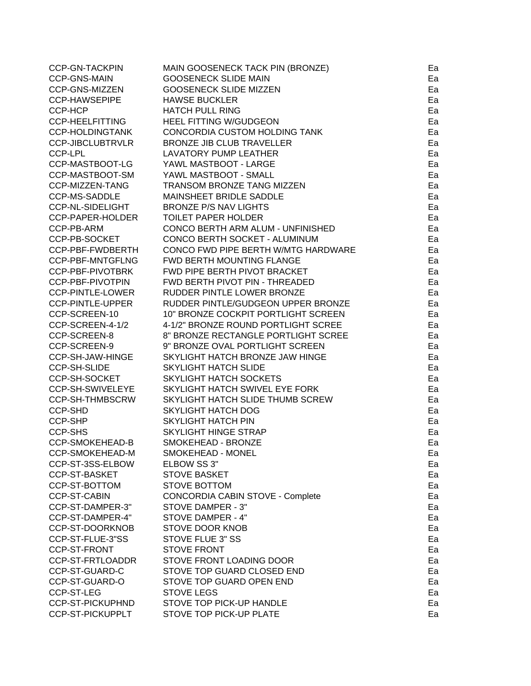| <b>CCP-GN-TACKPIN</b>   | MAIN GOOSENECK TACK PIN (BRONZE)    | Ea |
|-------------------------|-------------------------------------|----|
| <b>CCP-GNS-MAIN</b>     | <b>GOOSENECK SLIDE MAIN</b>         | Ea |
| CCP-GNS-MIZZEN          | <b>GOOSENECK SLIDE MIZZEN</b>       | Ea |
| <b>CCP-HAWSEPIPE</b>    | <b>HAWSE BUCKLER</b>                | Ea |
| CCP-HCP                 | <b>HATCH PULL RING</b>              | Ea |
| <b>CCP-HEELFITTING</b>  | <b>HEEL FITTING W/GUDGEON</b>       | Ea |
| <b>CCP-HOLDINGTANK</b>  | CONCORDIA CUSTOM HOLDING TANK       | Ea |
| <b>CCP-JIBCLUBTRVLR</b> | <b>BRONZE JIB CLUB TRAVELLER</b>    | Ea |
| <b>CCP-LPL</b>          | <b>LAVATORY PUMP LEATHER</b>        | Ea |
| CCP-MASTBOOT-LG         | YAWL MASTBOOT - LARGE               | Ea |
| CCP-MASTBOOT-SM         | YAWL MASTBOOT - SMALL               | Ea |
| <b>CCP-MIZZEN-TANG</b>  | TRANSOM BRONZE TANG MIZZEN          | Ea |
| <b>CCP-MS-SADDLE</b>    | MAINSHEET BRIDLE SADDLE             | Ea |
| <b>CCP-NL-SIDELIGHT</b> | <b>BRONZE P/S NAV LIGHTS</b>        | Ea |
| CCP-PAPER-HOLDER        | <b>TOILET PAPER HOLDER</b>          | Ea |
| CCP-PB-ARM              | CONCO BERTH ARM ALUM - UNFINISHED   | Ea |
| CCP-PB-SOCKET           | CONCO BERTH SOCKET - ALUMINUM       | Ea |
| CCP-PBF-FWDBERTH        | CONCO FWD PIPE BERTH W/MTG HARDWARE | Ea |
| CCP-PBF-MNTGFLNG        | <b>FWD BERTH MOUNTING FLANGE</b>    | Ea |
| CCP-PBF-PIVOTBRK        | FWD PIPE BERTH PIVOT BRACKET        | Ea |
| CCP-PBF-PIVOTPIN        | FWD BERTH PIVOT PIN - THREADED      | Ea |
| <b>CCP-PINTLE-LOWER</b> | RUDDER PINTLE LOWER BRONZE          | Ea |
| <b>CCP-PINTLE-UPPER</b> | RUDDER PINTLE/GUDGEON UPPER BRONZE  | Ea |
| CCP-SCREEN-10           | 10" BRONZE COCKPIT PORTLIGHT SCREEN | Ea |
| CCP-SCREEN-4-1/2        | 4-1/2" BRONZE ROUND PORTLIGHT SCREE | Ea |
| CCP-SCREEN-8            | 8" BRONZE RECTANGLE PORTLIGHT SCREE | Ea |
| CCP-SCREEN-9            | 9" BRONZE OVAL PORTLIGHT SCREEN     | Ea |
| CCP-SH-JAW-HINGE        | SKYLIGHT HATCH BRONZE JAW HINGE     | Ea |
| <b>CCP-SH-SLIDE</b>     | <b>SKYLIGHT HATCH SLIDE</b>         | Ea |
| <b>CCP-SH-SOCKET</b>    | SKYLIGHT HATCH SOCKETS              | Ea |
| <b>CCP-SH-SWIVELEYE</b> | SKYLIGHT HATCH SWIVEL EYE FORK      | Ea |
| CCP-SH-THMBSCRW         | SKYLIGHT HATCH SLIDE THUMB SCREW    | Ea |
| <b>CCP-SHD</b>          | <b>SKYLIGHT HATCH DOG</b>           | Ea |
| <b>CCP-SHP</b>          | <b>SKYLIGHT HATCH PIN</b>           | Ea |
| <b>CCP-SHS</b>          | <b>SKYLIGHT HINGE STRAP</b>         | Ea |
| CCP-SMOKEHEAD-B         | SMOKEHEAD - BRONZE                  | Ea |
| CCP-SMOKEHEAD-M         | SMOKEHEAD - MONEL                   | ьa |
| CCP-ST-3SS-ELBOW        | ELBOW SS 3"                         | Ea |
| CCP-ST-BASKET           | <b>STOVE BASKET</b>                 | Ea |
| CCP-ST-BOTTOM           | <b>STOVE BOTTOM</b>                 | Ea |
| <b>CCP-ST-CABIN</b>     | CONCORDIA CABIN STOVE - Complete    | Ea |
| CCP-ST-DAMPER-3"        | STOVE DAMPER - 3"                   | Ea |
| CCP-ST-DAMPER-4"        | STOVE DAMPER - 4"                   | Ea |
| CCP-ST-DOORKNOB         | <b>STOVE DOOR KNOB</b>              | Ea |
| CCP-ST-FLUE-3"SS        | <b>STOVE FLUE 3" SS</b>             | Ea |
| CCP-ST-FRONT            | <b>STOVE FRONT</b>                  | Ea |
| <b>CCP-ST-FRTLOADDR</b> | STOVE FRONT LOADING DOOR            | Ea |
| CCP-ST-GUARD-C          | STOVE TOP GUARD CLOSED END          | Ea |
| CCP-ST-GUARD-O          | STOVE TOP GUARD OPEN END            | Ea |
| CCP-ST-LEG              | <b>STOVE LEGS</b>                   | Ea |
| <b>CCP-ST-PICKUPHND</b> | STOVE TOP PICK-UP HANDLE            | Ea |
| CCP-ST-PICKUPPLT        | STOVE TOP PICK-UP PLATE             | Ea |